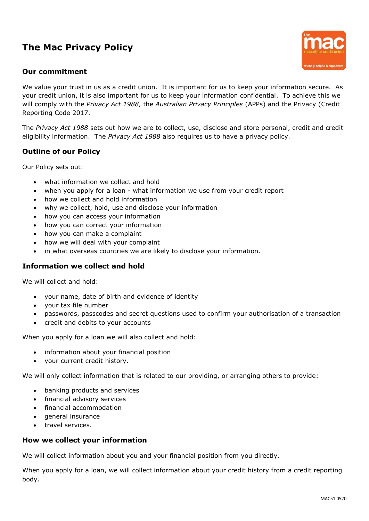# **The Mac Privacy Policy**

### **Our commitment**



We value your trust in us as a credit union. It is important for us to keep your information secure. As your credit union, it is also important for us to keep your information confidential. To achieve this we will comply with the *Privacy Act 1988,* the *Australian Privacy Principles* (APPs) and the Privacy (Credit Reporting Code 2017.

The *Privacy Act 1988* sets out how we are to collect, use, disclose and store personal, credit and credit eligibility information. The *Privacy Act 1988* also requires us to have a privacy policy.

## **Outline of our Policy**

Our Policy sets out:

- what information we collect and hold
- when you apply for a loan what information we use from your credit report
- how we collect and hold information
- why we collect, hold, use and disclose your information
- how you can access your information
- how you can correct your information
- how you can make a complaint
- how we will deal with your complaint
- in what overseas countries we are likely to disclose your information.

#### **Information we collect and hold**

We will collect and hold:

- your name, date of birth and evidence of identity
- your tax file number
- passwords, passcodes and secret questions used to confirm your authorisation of a transaction
- credit and debits to your accounts

When you apply for a loan we will also collect and hold:

- information about your financial position
- your current credit history.

We will only collect information that is related to our providing, or arranging others to provide:

- banking products and services
- financial advisory services
- financial accommodation
- general insurance
- travel services.

#### **How we collect your information**

We will collect information about you and your financial position from you directly.

When you apply for a loan, we will collect information about your credit history from a credit reporting body.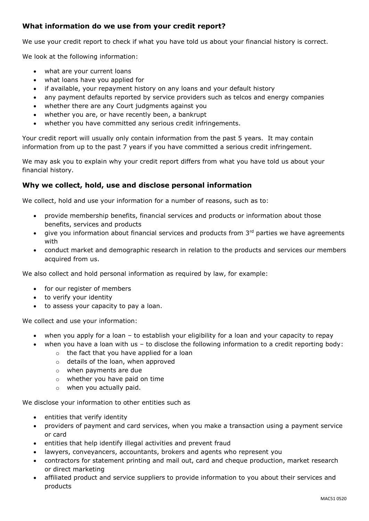## **What information do we use from your credit report?**

We use your credit report to check if what you have told us about your financial history is correct.

We look at the following information:

- what are your current loans
- what loans have you applied for
- if available, your repayment history on any loans and your default history
- any payment defaults reported by service providers such as telcos and energy companies
- whether there are any Court judgments against you
- whether you are, or have recently been, a bankrupt
- whether you have committed any serious credit infringements.

Your credit report will usually only contain information from the past 5 years. It may contain information from up to the past 7 years if you have committed a serious credit infringement.

We may ask you to explain why your credit report differs from what you have told us about your financial history.

## **Why we collect, hold, use and disclose personal information**

We collect, hold and use your information for a number of reasons, such as to:

- provide membership benefits, financial services and products or information about those benefits, services and products
- $\bullet$  give you information about financial services and products from  $3<sup>rd</sup>$  parties we have agreements with
- conduct market and demographic research in relation to the products and services our members acquired from us.

We also collect and hold personal information as required by law, for example:

- for our register of members
- to verify your identity
- to assess your capacity to pay a loan.

We collect and use your information:

- when you apply for a loan to establish your eligibility for a loan and your capacity to repay
	- when you have a loan with us to disclose the following information to a credit reporting body:
		- o the fact that you have applied for a loan
		- o details of the loan, when approved
		- o when payments are due
		- o whether you have paid on time
		- o when you actually paid.

We disclose your information to other entities such as

- entities that verify identity
- providers of payment and card services, when you make a transaction using a payment service or card
- entities that help identify illegal activities and prevent fraud
- lawyers, conveyancers, accountants, brokers and agents who represent you
- contractors for statement printing and mail out, card and cheque production, market research or direct marketing
- affiliated product and service suppliers to provide information to you about their services and products